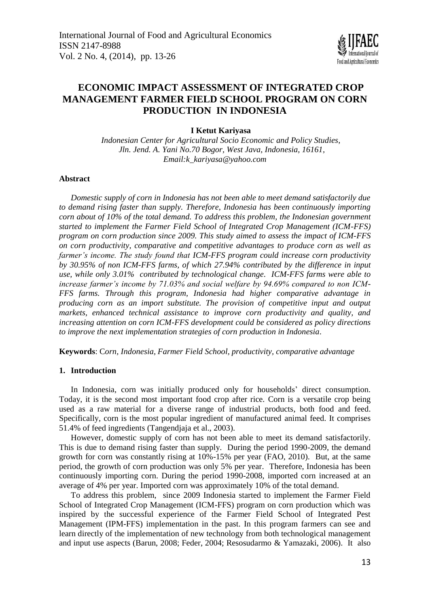

# **ECONOMIC IMPACT ASSESSMENT OF INTEGRATED CROP MANAGEMENT FARMER FIELD SCHOOL PROGRAM ON CORN PRODUCTION IN INDONESIA**

# **I Ketut Kariyasa**

*Indonesian Center for Agricultural Socio Economic and Policy Studies, Jln. Jend. A. Yani No.70 Bogor, West Java, Indonesia, 16161, Email:k\_kariyasa@yahoo.com*

### **Abstract**

*Domestic supply of corn in Indonesia has not been able to meet demand satisfactorily due to demand rising faster than supply. Therefore, Indonesia has been continuously importing corn about of 10% of the total demand. To address this problem, the Indonesian government started to implement the Farmer Field School of Integrated Crop Management (ICM-FFS) program on corn production since 2009. This study aimed to assess the impact of ICM-FFS on corn productivity, comparative and competitive advantages to produce corn as well as farmer's income. The study found that ICM-FFS program could increase corn productivity by 30.95% of non ICM-FFS farms, of which 27.94% contributed by the difference in input use, while only 3.01% contributed by technological change. ICM-FFS farms were able to increase farmer's income by 71.03% and social welfare by 94.69% compared to non ICM-FFS farms. Through this program, Indonesia had higher comparative advantage in producing corn as an import substitute. The provision of competitive input and output markets, enhanced technical assistance to improve corn productivity and quality, and increasing attention on corn ICM-FFS development could be considered as policy directions to improve the next implementation strategies of corn production in Indonesia.*

**Keywords**: C*orn, Indonesia, Farmer Field School, productivity, comparative advantage*

# **1. Introduction**

In Indonesia, corn was initially produced only for households' direct consumption. Today, it is the second most important food crop after rice. Corn is a versatile crop being used as a raw material for a diverse range of industrial products, both food and feed. Specifically, corn is the most popular ingredient of manufactured animal feed. It comprises 51.4% of feed ingredients (Tangendjaja et al., 2003).

However, domestic supply of corn has not been able to meet its demand satisfactorily. This is due to demand rising faster than supply. During the period 1990-2009, the demand growth for corn was constantly rising at 10%-15% per year (FAO, 2010). But, at the same period, the growth of corn production was only 5% per year. Therefore, Indonesia has been continuously importing corn. During the period 1990-2008, imported corn increased at an average of 4% per year. Imported corn was approximately 10% of the total demand.

To address this problem, since 2009 Indonesia started to implement the Farmer Field School of Integrated Crop Management (ICM-FFS) program on corn production which was inspired by the successful experience of the Farmer Field School of Integrated Pest Management (IPM-FFS) implementation in the past. In this program farmers can see and learn directly of the implementation of new technology from both technological management and input use aspects (Barun, 2008; Feder, 2004; Resosudarmo & Yamazaki, 2006). It also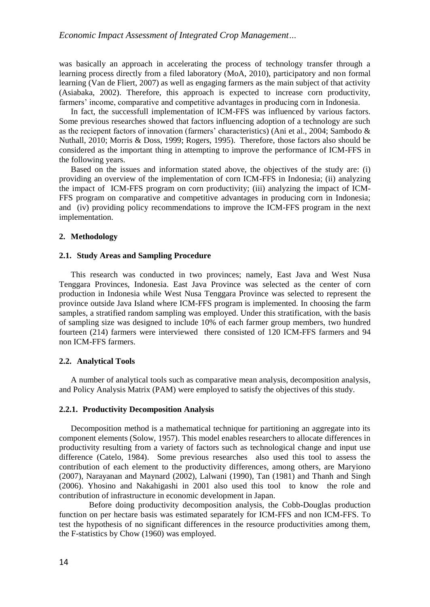was basically an approach in accelerating the process of technology transfer through a learning process directly from a filed laboratory (MoA, 2010), participatory and non formal learning (Van de Fliert, 2007) as well as engaging farmers as the main subject of that activity (Asiabaka, 2002). Therefore, this approach is expected to increase corn productivity, farmers' income, comparative and competitive advantages in producing corn in Indonesia.

In fact, the successfull implementation of ICM-FFS was influenced by various factors. Some previous researches showed that factors influencing adoption of a technology are such as the reciepent factors of innovation (farmers' characteristics) (Ani et al., 2004; Sambodo & Nuthall, 2010; Morris & Doss, 1999; Rogers, 1995). Therefore, those factors also should be considered as the important thing in attempting to improve the performance of ICM-FFS in the following years.

Based on the issues and information stated above, the objectives of the study are: (i) providing an overview of the implementation of corn ICM-FFS in Indonesia; (ii) analyzing the impact of ICM-FFS program on corn productivity; (iii) analyzing the impact of ICM-FFS program on comparative and competitive advantages in producing corn in Indonesia; and (iv) providing policy recommendations to improve the ICM-FFS program in the next implementation.

## **2. Methodology**

## **2.1. Study Areas and Sampling Procedure**

This research was conducted in two provinces; namely, East Java and West Nusa Tenggara Provinces, Indonesia. East Java Province was selected as the center of corn production in Indonesia while West Nusa Tenggara Province was selected to represent the province outside Java Island where ICM-FFS program is implemented. In choosing the farm samples, a stratified random sampling was employed. Under this stratification, with the basis of sampling size was designed to include 10% of each farmer group members, two hundred fourteen (214) farmers were interviewed there consisted of 120 ICM-FFS farmers and 94 non ICM-FFS farmers.

#### **2.2. Analytical Tools**

A number of analytical tools such as comparative mean analysis, decomposition analysis, and Policy Analysis Matrix (PAM) were employed to satisfy the objectives of this study.

#### **2.2.1. Productivity Decomposition Analysis**

Decomposition method is a mathematical technique for partitioning an aggregate into its component elements (Solow, 1957). This model enables researchers to allocate differences in productivity resulting from a variety of factors such as technological change and input use difference (Catelo, 1984). Some previous researches also used this tool to assess the contribution of each element to the productivity differences, among others, are Maryiono (2007), Narayanan and Maynard (2002), Lalwani (1990), Tan (1981) and Thanh and Singh (2006). Yhosino and Nakahigashi in 2001 also used this tool to know the role and contribution of infrastructure in economic development in Japan.

Before doing productivity decomposition analysis, the Cobb-Douglas production function on per hectare basis was estimated separately for ICM-FFS and non ICM-FFS. To test the hypothesis of no significant differences in the resource productivities among them, the F-statistics by Chow (1960) was employed.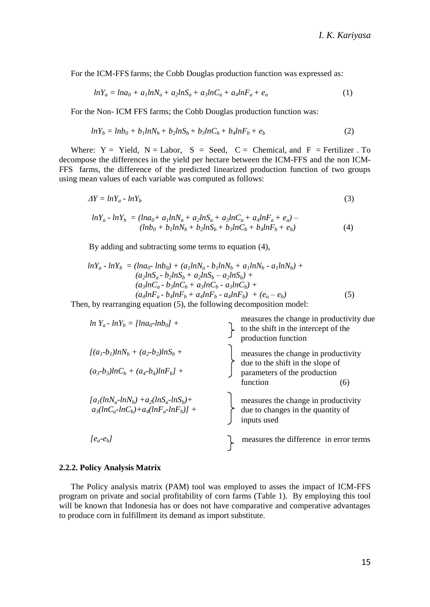For the ICM-FFS farms; the Cobb Douglas production function was expressed as:

$$
lnY_a = lna_0 + a_1lnN_a + a_2lnS_a + a_3lnC_a + a_4lnF_a + e_a
$$
\n<sup>(1)</sup>

For the Non- ICM FFS farms; the Cobb Douglas production function was:

$$
lnY_b = lnb_0 + b_1lnN_b + b_2lnS_b + b_3lnC_b + b_4lnF_b + e_b
$$
\n
$$
(2)
$$

Where:  $Y = Yield$ ,  $N = Labor$ ,  $S = Seed$ ,  $C = Chemical$ , and  $F = Fertilizer$ . To decompose the differences in the yield per hectare between the ICM-FFS and the non ICM-FFS farms, the difference of the predicted linearized production function of two groups using mean values of each variable was computed as follows:

$$
\Delta Y = ln Y_a - ln Y_b \tag{3}
$$

$$
lnY_a - lnY_b = (lna_0 + a_1lnN_a + a_2lnS_a + a_3lnC_a + a_4lnF_a + e_a) - (lnb_0 + b_1lnN_b + b_2lnS_b + b_3lnC_b + b_4lnF_b + e_b)
$$
\n<sup>(4)</sup>

By adding and subtracting some terms to equation (4),

$$
lnY_a - lnY_b = (lna_0 - lnb_0) + (a_1lnN_a - b_1lnN_b + a_1lnN_b - a_1lnN_b) + (a_2lnS_a - b_2lnS_b + a_2lnS_b - a_2lnS_b) + (a_3lnC_a - b_3lnC_b + a_3lnC_b - a_3lnC_b) + (a_4lnF_a - b_4lnF_b + a_4lnF_b - a_4lnF_b) + (e_a - e_b)
$$
 (5)

Then, by rearranging equation (5), the following decomposition model:

| $ln Y_a - ln Y_b = [ln a_0 - ln b_0] +$                                         | measures the change in productivity due<br>to the shift in the intercept of the<br>production function |
|---------------------------------------------------------------------------------|--------------------------------------------------------------------------------------------------------|
| $[(a_1-b_1)lnN_b + (a_2-b_2)lnS_b +$                                            | measures the change in productivity                                                                    |
| $(a_3-b_3)lnC_b + (a_4-b_4)lnF_b$ +                                             | due to the shift in the slope of<br>parameters of the production<br>function<br>(6)                    |
| $[a_1(lnN_a-lnN_b)+a_2(lnS_a-lnS_b)+$<br>$a_3(lnC_a-lnC_b)+a_4(lnF_a-lnF_b)] +$ | measures the change in productivity<br>due to changes in the quantity of<br>inputs used                |
| $ e_{a}$ - $e_{b}$                                                              | measures the difference in error terms                                                                 |

#### **2.2.2. Policy Analysis Matrix**

The Policy analysis matrix (PAM) tool was employed to asses the impact of ICM-FFS program on private and social profitability of corn farms (Table 1). By employing this tool will be known that Indonesia has or does not have comparative and comperative advantages to produce corn in fulfillment its demand as import substitute.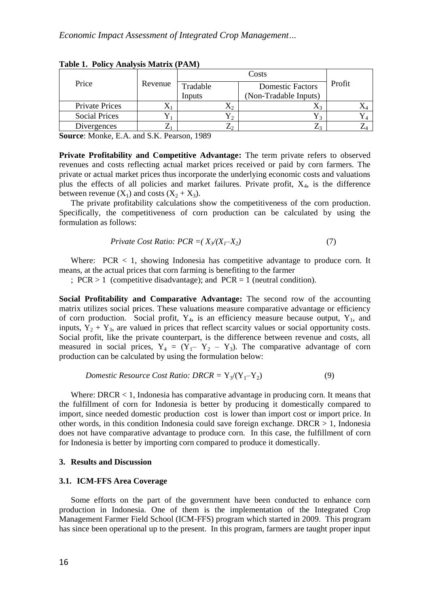| Price                 | Revenue | Tradable | <b>Domestic Factors</b> | Profit |  |
|-----------------------|---------|----------|-------------------------|--------|--|
|                       |         | Inputs   | (Non-Tradable Inputs)   |        |  |
| <b>Private Prices</b> | Æ       |          |                         |        |  |
| <b>Social Prices</b>  |         |          |                         |        |  |
| Divergences           |         |          |                         |        |  |

**Table 1. Policy Analysis Matrix (PAM)**

**Source**: Monke, E.A. and S.K. Pearson, 1989

**Private Profitability and Competitive Advantage:** The term private refers to observed revenues and costs reflecting actual market prices received or paid by corn farmers. The private or actual market prices thus incorporate the underlying economic costs and valuations plus the effects of all policies and market failures. Private profit,  $X_4$ , is the difference between revenue  $(X_1)$  and costs  $(X_2 + X_3)$ .

The private profitability calculations show the competitiveness of the corn production. Specifically, the competitiveness of corn production can be calculated by using the formulation as follows:

$$
Private Cost Ratio: PCR = (X_3/(X_1 - X_2) \tag{7}
$$

Where:  $PCR < 1$ , showing Indonesia has competitive advantage to produce corn. It means, at the actual prices that corn farming is benefiting to the farmer

;  $PCR > 1$  (competitive disadvantage); and  $PCR = 1$  (neutral condition).

**Social Profitability and Comparative Advantage:** The second row of the accounting matrix utilizes social prices. These valuations measure comparative advantage or efficiency of corn production. Social profit,  $Y_4$ , is an efficiency measure because output,  $Y_1$ , and inputs,  $Y_2 + Y_3$ , are valued in prices that reflect scarcity values or social opportunity costs. Social profit, like the private counterpart, is the difference between revenue and costs, all measured in social prices,  $Y_4 = (Y_1 - Y_2 - Y_3)$ . The comparative advantage of corn production can be calculated by using the formulation below:

*Domestic Resource Cost Ratio: DRCR* = 
$$
Y_3/(Y_1-Y_2)
$$
 (9)

Where: DRCR < 1, Indonesia has comparative advantage in producing corn. It means that the fulfillment of corn for Indonesia is better by producing it domestically compared to import, since needed domestic production cost is lower than import cost or import price. In other words, in this condition Indonesia could save foreign exchange. DRCR > 1, Indonesia does not have comparative advantage to produce corn. In this case, the fulfillment of corn for Indonesia is better by importing corn compared to produce it domestically.

## **3. Results and Discussion**

### **3.1. ICM-FFS Area Coverage**

Some efforts on the part of the government have been conducted to enhance corn production in Indonesia. One of them is the implementation of the Integrated Crop Management Farmer Field School (ICM-FFS) program which started in 2009. This program has since been operational up to the present. In this program, farmers are taught proper input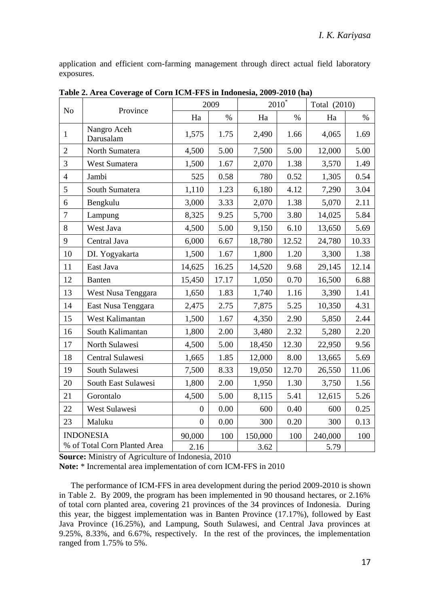application and efficient corn-farming management through direct actual field laboratory exposures.

| N <sub>o</sub><br>Province |                              | 2009           |       | $2010^*$ |       | Total (2010) |       |
|----------------------------|------------------------------|----------------|-------|----------|-------|--------------|-------|
|                            |                              | Ha             | $\%$  | Ha       | $\%$  | Ha           | $\%$  |
| 1                          | Nangro Aceh<br>Darusalam     | 1,575          | 1.75  | 2,490    | 1.66  | 4,065        | 1.69  |
| $\overline{c}$             | North Sumatera               | 4,500          | 5.00  | 7,500    | 5.00  | 12,000       | 5.00  |
| 3                          | West Sumatera                | 1,500          | 1.67  | 2,070    | 1.38  | 3,570        | 1.49  |
| $\overline{4}$             | Jambi                        | 525            | 0.58  | 780      | 0.52  | 1,305        | 0.54  |
| 5                          | South Sumatera               | 1,110          | 1.23  | 6,180    | 4.12  | 7,290        | 3.04  |
| 6                          | Bengkulu                     | 3,000          | 3.33  | 2,070    | 1.38  | 5,070        | 2.11  |
| $\overline{7}$             | Lampung                      | 8,325          | 9.25  | 5,700    | 3.80  | 14,025       | 5.84  |
| 8                          | West Java                    | 4,500          | 5.00  | 9,150    | 6.10  | 13,650       | 5.69  |
| 9                          | Central Java                 | 6,000          | 6.67  | 18,780   | 12.52 | 24,780       | 10.33 |
| 10                         | DI. Yogyakarta               | 1,500          | 1.67  | 1,800    | 1.20  | 3,300        | 1.38  |
| 11                         | East Java                    | 14,625         | 16.25 | 14,520   | 9.68  | 29,145       | 12.14 |
| 12                         | <b>Banten</b>                | 15,450         | 17.17 | 1,050    | 0.70  | 16,500       | 6.88  |
| 13                         | West Nusa Tenggara           | 1,650          | 1.83  | 1,740    | 1.16  | 3,390        | 1.41  |
| 14                         | East Nusa Tenggara           | 2,475          | 2.75  | 7,875    | 5.25  | 10,350       | 4.31  |
| 15                         | West Kalimantan              | 1,500          | 1.67  | 4,350    | 2.90  | 5,850        | 2.44  |
| 16                         | South Kalimantan             | 1,800          | 2.00  | 3,480    | 2.32  | 5,280        | 2.20  |
| 17                         | North Sulawesi               | 4,500          | 5.00  | 18,450   | 12.30 | 22,950       | 9.56  |
| 18                         | Central Sulawesi             | 1,665          | 1.85  | 12,000   | 8.00  | 13,665       | 5.69  |
| 19                         | South Sulawesi               | 7,500          | 8.33  | 19,050   | 12.70 | 26,550       | 11.06 |
| 20                         | South East Sulawesi          | 1,800          | 2.00  | 1,950    | 1.30  | 3,750        | 1.56  |
| 21                         | Gorontalo                    | 4,500          | 5.00  | 8,115    | 5.41  | 12,615       | 5.26  |
| 22                         | West Sulawesi                | $\overline{0}$ | 0.00  | 600      | 0.40  | 600          | 0.25  |
| 23                         | Maluku                       | $\Omega$       | 0.00  | 300      | 0.20  | 300          | 0.13  |
|                            | <b>INDONESIA</b>             | 90,000         | 100   | 150,000  | 100   | 240,000      | 100   |
|                            | % of Total Corn Planted Area | 2.16           |       | 3.62     |       | 5.79         |       |

**Table 2. Area Coverage of Corn ICM-FFS in Indonesia, 2009-2010 (ha)**

**Source:** Ministry of Agriculture of Indonesia, 2010

**Note:** \* Incremental area implementation of corn ICM-FFS in 2010

The performance of ICM-FFS in area development during the period 2009-2010 is shown in Table 2. By 2009, the program has been implemented in 90 thousand hectares, or 2.16% of total corn planted area, covering 21 provinces of the 34 provinces of Indonesia. During this year, the biggest implementation was in Banten Province (17.17%), followed by East Java Province (16.25%), and Lampung, South Sulawesi, and Central Java provinces at 9.25%, 8.33%, and 6.67%, respectively. In the rest of the provinces, the implementation ranged from 1.75% to 5%.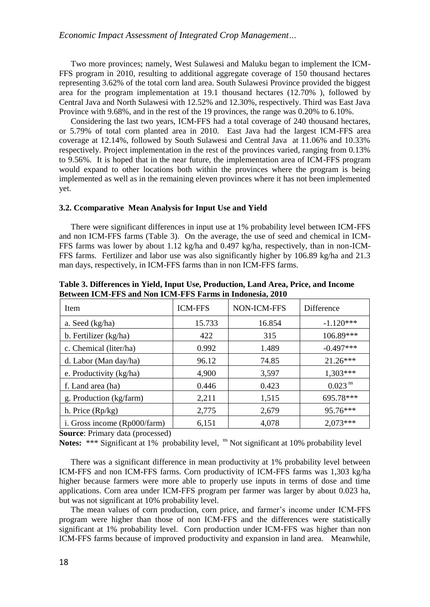Two more provinces; namely, West Sulawesi and Maluku began to implement the ICM-FFS program in 2010, resulting to additional aggregate coverage of 150 thousand hectares representing 3.62% of the total corn land area. South Sulawesi Province provided the biggest area for the program implementation at 19.1 thousand hectares (12.70% ), followed by Central Java and North Sulawesi with 12.52% and 12.30%, respectively. Third was East Java Province with 9.68%, and in the rest of the 19 provinces, the range was 0.20% to 6.10%.

Considering the last two years, ICM-FFS had a total coverage of 240 thousand hectares, or 5.79% of total corn planted area in 2010. East Java had the largest ICM-FFS area coverage at 12.14%, followed by South Sulawesi and Central Java at 11.06% and 10.33% respectively. Project implementation in the rest of the provinces varied, ranging from 0.13% to 9.56%. It is hoped that in the near future, the implementation area of ICM-FFS program would expand to other locations both within the provinces where the program is being implemented as well as in the remaining eleven provinces where it has not been implemented yet.

#### **3.2. Ccomparative Mean Analysis for Input Use and Yield**

There were significant differences in input use at 1% probability level between ICM-FFS and non ICM-FFS farms (Table 3). On the average, the use of seed and chemical in ICM-FFS farms was lower by about 1.12 kg/ha and 0.497 kg/ha, respectively, than in non-ICM-FFS farms. Fertilizer and labor use was also significantly higher by 106.89 kg/ha and 21.3 man days, respectively, in ICM-FFS farms than in non ICM-FFS farms.

| <b>Item</b>                  | <b>ICM-FFS</b> | NON-ICM-FFS | Difference            |
|------------------------------|----------------|-------------|-----------------------|
| a. Seed (kg/ha)              | 15.733         | 16.854      | $-1.120***$           |
| b. Fertilizer (kg/ha)        | 422            | 315         | 106.89***             |
| c. Chemical (liter/ha)       | 0.992          | 1.489       | $-0.497***$           |
| d. Labor (Man day/ha)        | 96.12          | 74.85       | $21.26***$            |
| e. Productivity (kg/ha)      | 4,900          | 3,597       | $1,303***$            |
| f. Land area (ha)            | 0.446          | 0.423       | $0.023$ <sup>ns</sup> |
| g. Production (kg/farm)      | 2,211          | 1,515       | 695.78***             |
| h. Price (Rp/kg)             | 2,775          | 2,679       | 95.76***              |
| i. Gross income (Rp000/farm) | 6.151          | 4.078       | $2,073***$            |

**Table 3. Differences in Yield, Input Use, Production, Land Area, Price, and Income Between ICM-FFS and Non ICM-FFS Farms in Indonesia, 2010**

**Source**: Primary data (processed)

Notes: \*\*\* Significant at 1% probability level, <sup>ns</sup> Not significant at 10% probability level

There was a significant difference in mean productivity at 1% probability level between ICM-FFS and non ICM-FFS farms. Corn productivity of ICM-FFS farms was 1,303 kg/ha higher because farmers were more able to properly use inputs in terms of dose and time applications. Corn area under ICM-FFS program per farmer was larger by about 0.023 ha, but was not significant at 10% probability level.

The mean values of corn production, corn price, and farmer's income under ICM-FFS program were higher than those of non ICM-FFS and the differences were statistically significant at 1% probability level. Corn production under ICM-FFS was higher than non ICM-FFS farms because of improved productivity and expansion in land area. Meanwhile,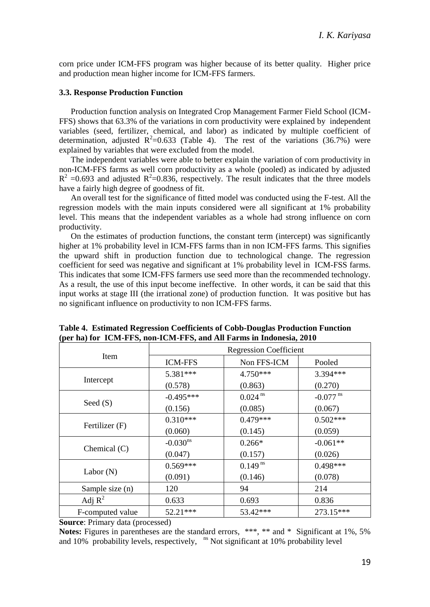corn price under ICM-FFS program was higher because of its better quality. Higher price and production mean higher income for ICM-FFS farmers.

## **3.3. Response Production Function**

Production function analysis on Integrated Crop Management Farmer Field School (ICM-FFS) shows that 63.3% of the variations in corn productivity were explained by independent variables (seed, fertilizer, chemical, and labor) as indicated by multiple coefficient of determination, adjusted  $R^2$ =0.633 (Table 4). The rest of the variations (36.7%) were explained by variables that were excluded from the model.

The independent variables were able to better explain the variation of corn productivity in non-ICM-FFS farms as well corn productivity as a whole (pooled) as indicated by adjusted  $R^2$  =0.693 and adjusted  $R^2$ =0.836, respectively. The result indicates that the three models have a fairly high degree of goodness of fit.

An overall test for the significance of fitted model was conducted using the F-test. All the regression models with the main inputs considered were all significant at 1% probability level. This means that the independent variables as a whole had strong influence on corn productivity.

On the estimates of production functions, the constant term (intercept) was significantly higher at 1% probability level in ICM-FFS farms than in non ICM-FFS farms. This signifies the upward shift in production function due to technological change. The regression coefficient for seed was negative and significant at 1% probability level in ICM-FSS farms. This indicates that some ICM-FFS farmers use seed more than the recommended technology. As a result, the use of this input become ineffective. In other words, it can be said that this input works at stage III (the irrational zone) of production function. It was positive but has no significant influence on productivity to non ICM-FFS farms.

|                  | <b>Regression Coefficient</b> |                       |                        |  |
|------------------|-------------------------------|-----------------------|------------------------|--|
| Item             | <b>ICM-FFS</b>                | Non FFS-ICM           | Pooled                 |  |
|                  | 5.381***                      | $4.750***$            | 3.394***               |  |
| Intercept        | (0.578)                       | (0.863)               | (0.270)                |  |
|                  | $-0.495***$                   | $0.024$ <sup>ns</sup> | $-0.077$ <sup>ns</sup> |  |
| Seed $(S)$       | (0.156)                       | (0.085)               | (0.067)                |  |
| Fertilizer (F)   | $0.310***$                    | $0.479***$            | $0.502***$             |  |
|                  | (0.060)                       | (0.145)               | (0.059)                |  |
| Chemical $(C)$   | $-0.030$ <sup>ns</sup>        | $0.266*$              | $-0.061**$             |  |
|                  | (0.047)                       | (0.157)               | (0.026)                |  |
| Labor $(N)$      | $0.569***$                    | $0.149^{ns}$          | $0.498***$             |  |
|                  | (0.091)                       | (0.146)               | (0.078)                |  |
| Sample size (n)  | 120                           | 94                    | 214                    |  |
| Adj $R^2$        | 0.633                         | 0.693                 | 0.836                  |  |
| F-computed value | 52.21***                      | 53.42***              | 273.15***              |  |

**Table 4. Estimated Regression Coefficients of Cobb-Douglas Production Function (per ha) for ICM-FFS, non-ICM-FFS, and All Farms in Indonesia, 2010**

**Source**: Primary data (processed)

**Notes:** Figures in parentheses are the standard errors, \*\*\*, \*\* and \* Significant at 1%, 5% and  $10\%$  probability levels, respectively,  $\mathrm{^{ns}}$  Not significant at 10% probability level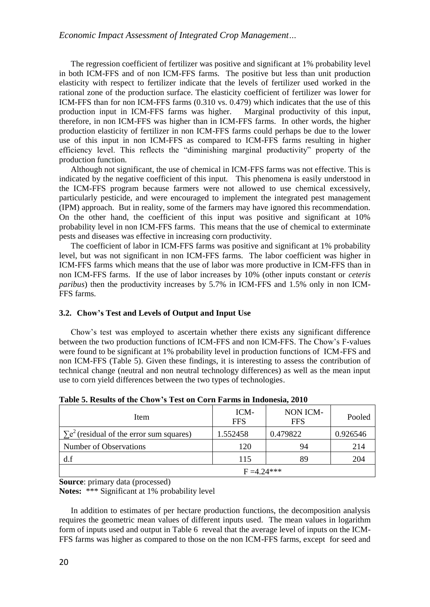The regression coefficient of fertilizer was positive and significant at 1% probability level in both ICM-FFS and of non ICM-FFS farms. The positive but less than unit production elasticity with respect to fertilizer indicate that the levels of fertilizer used worked in the rational zone of the production surface. The elasticity coefficient of fertilizer was lower for ICM-FFS than for non ICM-FFS farms (0.310 vs. 0.479) which indicates that the use of this production input in ICM-FFS farms was higher. Marginal productivity of this input, therefore, in non ICM-FFS was higher than in ICM-FFS farms. In other words, the higher production elasticity of fertilizer in non ICM-FFS farms could perhaps be due to the lower use of this input in non ICM-FFS as compared to ICM-FFS farms resulting in higher efficiency level. This reflects the "diminishing marginal productivity" property of the production function.

Although not significant, the use of chemical in ICM-FFS farms was not effective. This is indicated by the negative coefficient of this input. This phenomena is easily understood in the ICM-FFS program because farmers were not allowed to use chemical excessively, particularly pesticide, and were encouraged to implement the integrated pest management (IPM) approach. But in reality, some of the farmers may have ignored this recommendation. On the other hand, the coefficient of this input was positive and significant at 10% probability level in non ICM-FFS farms. This means that the use of chemical to exterminate pests and diseases was effective in increasing corn productivity.

The coefficient of labor in ICM-FFS farms was positive and significant at 1% probability level, but was not significant in non ICM-FFS farms. The labor coefficient was higher in ICM-FFS farms which means that the use of labor was more productive in ICM-FFS than in non ICM-FFS farms. If the use of labor increases by 10% (other inputs constant or *ceteris paribus*) then the productivity increases by 5.7% in ICM-FFS and 1.5% only in non ICM-FFS farms.

# **3.2. Chow's Test and Levels of Output and Input Use**

Chow's test was employed to ascertain whether there exists any significant difference between the two production functions of ICM-FFS and non ICM-FFS. The Chow's F-values were found to be significant at 1% probability level in production functions of ICM-FFS and non ICM-FFS (Table 5). Given these findings, it is interesting to assess the contribution of technical change (neutral and non neutral technology differences) as well as the mean input use to corn yield differences between the two types of technologies.

| Table of Intrally of the Chow 3 Text on Corn Farms in Indonesia, 2010 |                    |                        |          |  |  |
|-----------------------------------------------------------------------|--------------------|------------------------|----------|--|--|
| Item                                                                  | ICM-<br><b>FFS</b> | NON ICM-<br><b>FFS</b> | Pooled   |  |  |
| $\sum e^2$ (residual of the error sum squares)                        | 1.552458           | 0.479822               | 0.926546 |  |  |
| Number of Observations                                                | 120                | 94                     | 214      |  |  |
| df                                                                    | 115                | 89                     | 204      |  |  |
| $F = 4.24***$                                                         |                    |                        |          |  |  |

**Table 5. Results of the Chow's Test on Corn Farms in Indonesia, 2010**

**Source**: primary data (processed)

**Notes:** \*\*\* Significant at 1% probability level

In addition to estimates of per hectare production functions, the decomposition analysis requires the geometric mean values of different inputs used. The mean values in logarithm form of inputs used and output in Table 6 reveal that the average level of inputs on the ICM-FFS farms was higher as compared to those on the non ICM-FFS farms, except for seed and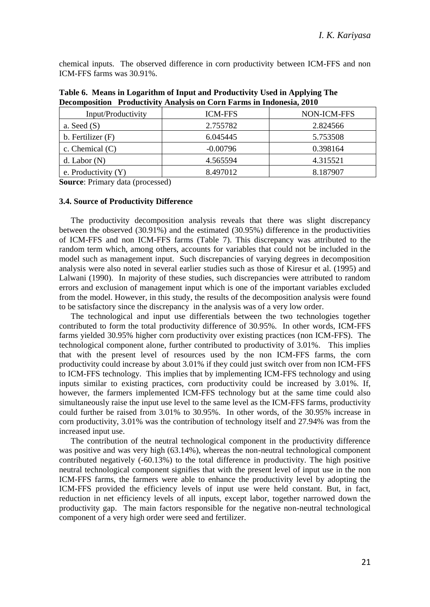chemical inputs. The observed difference in corn productivity between ICM-FFS and non ICM-FFS farms was 30.91%.

| $\sim$ . The complete the complete the complete one commute the model in the complete $\sim$ |                |             |  |  |
|----------------------------------------------------------------------------------------------|----------------|-------------|--|--|
| Input/Productivity                                                                           | <b>ICM-FFS</b> | NON-ICM-FFS |  |  |
| a. Seed $(S)$                                                                                | 2.755782       | 2.824566    |  |  |
| b. Fertilizer (F)                                                                            | 6.045445       | 5.753508    |  |  |
| c. Chemical $(C)$                                                                            | $-0.00796$     | 0.398164    |  |  |
| d. Labor $(N)$                                                                               | 4.565594       | 4.315521    |  |  |
| e. Productivity $(Y)$                                                                        | 8.497012       | 8.187907    |  |  |

**Table 6. Means in Logarithm of Input and Productivity Used in Applying The Decomposition Productivity Analysis on Corn Farms in Indonesia, 2010**

**Source**: Primary data (processed)

#### **3.4. Source of Productivity Difference**

The productivity decomposition analysis reveals that there was slight discrepancy between the observed (30.91%) and the estimated (30.95%) difference in the productivities of ICM-FFS and non ICM-FFS farms (Table 7). This discrepancy was attributed to the random term which, among others, accounts for variables that could not be included in the model such as management input. Such discrepancies of varying degrees in decomposition analysis were also noted in several earlier studies such as those of Kiresur et al. (1995) and Lalwani (1990). In majority of these studies, such discrepancies were attributed to random errors and exclusion of management input which is one of the important variables excluded from the model. However, in this study, the results of the decomposition analysis were found to be satisfactory since the discrepancy in the analysis was of a very low order.

The technological and input use differentials between the two technologies together contributed to form the total productivity difference of 30.95%. In other words, ICM-FFS farms yielded 30.95% higher corn productivity over existing practices (non ICM-FFS). The technological component alone, further contributed to productivity of 3.01%. This implies that with the present level of resources used by the non ICM-FFS farms, the corn productivity could increase by about 3.01% if they could just switch over from non ICM-FFS to ICM-FFS technology. This implies that by implementing ICM-FFS technology and using inputs similar to existing practices, corn productivity could be increased by 3.01%. If, however, the farmers implemented ICM-FFS technology but at the same time could also simultaneously raise the input use level to the same level as the ICM-FFS farms, productivity could further be raised from 3.01% to 30.95%. In other words, of the 30.95% increase in corn productivity, 3.01% was the contribution of technology itself and 27.94% was from the increased input use.

The contribution of the neutral technological component in the productivity difference was positive and was very high (63.14%), whereas the non-neutral technological component contributed negatively (-60.13%) to the total difference in productivity. The high positive neutral technological component signifies that with the present level of input use in the non ICM-FFS farms, the farmers were able to enhance the productivity level by adopting the ICM-FFS provided the efficiency levels of input use were held constant. But, in fact, reduction in net efficiency levels of all inputs, except labor, together narrowed down the productivity gap. The main factors responsible for the negative non-neutral technological component of a very high order were seed and fertilizer.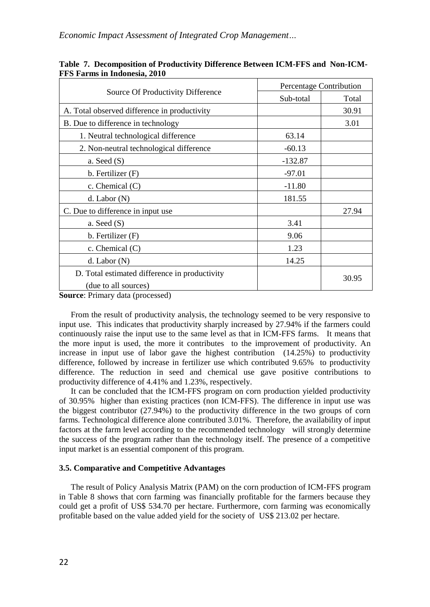|                                                                       |           | Percentage Contribution |  |  |
|-----------------------------------------------------------------------|-----------|-------------------------|--|--|
| Source Of Productivity Difference                                     | Sub-total | Total                   |  |  |
| A. Total observed difference in productivity                          |           | 30.91                   |  |  |
| B. Due to difference in technology                                    |           | 3.01                    |  |  |
| 1. Neutral technological difference                                   | 63.14     |                         |  |  |
| 2. Non-neutral technological difference                               | $-60.13$  |                         |  |  |
| a. Seed $(S)$                                                         | $-132.87$ |                         |  |  |
| b. Fertilizer $(F)$                                                   | $-97.01$  |                         |  |  |
| c. Chemical $(C)$                                                     | $-11.80$  |                         |  |  |
| $d.$ Labor $(N)$                                                      | 181.55    |                         |  |  |
| C. Due to difference in input use.                                    |           | 27.94                   |  |  |
| a. Seed $(S)$                                                         | 3.41      |                         |  |  |
| b. Fertilizer (F)                                                     | 9.06      |                         |  |  |
| c. Chemical $(C)$                                                     | 1.23      |                         |  |  |
| $d.$ Labor $(N)$                                                      | 14.25     |                         |  |  |
| D. Total estimated difference in productivity<br>(due to all sources) |           | 30.95                   |  |  |

**Table 7. Decomposition of Productivity Difference Between ICM-FFS and Non-ICM-FFS Farms in Indonesia, 2010**

**Source**: Primary data (processed)

From the result of productivity analysis, the technology seemed to be very responsive to input use. This indicates that productivity sharply increased by 27.94% if the farmers could continuously raise the input use to the same level as that in ICM-FFS farms. It means that the more input is used, the more it contributes to the improvement of productivity. An increase in input use of labor gave the highest contribution (14.25%) to productivity difference, followed by increase in fertilizer use which contributed 9.65% to productivity difference. The reduction in seed and chemical use gave positive contributions to productivity difference of 4.41% and 1.23%, respectively.

It can be concluded that the ICM-FFS program on corn production yielded productivity of 30.95% higher than existing practices (non ICM-FFS). The difference in input use was the biggest contributor (27.94%) to the productivity difference in the two groups of corn farms. Technological difference alone contributed 3.01%. Therefore, the availability of input factors at the farm level according to the recommended technology will strongly determine the success of the program rather than the technology itself. The presence of a competitive input market is an essential component of this program.

# **3.5. Comparative and Competitive Advantages**

The result of Policy Analysis Matrix (PAM) on the corn production of ICM-FFS program in Table 8 shows that corn farming was financially profitable for the farmers because they could get a profit of US\$ 534.70 per hectare. Furthermore, corn farming was economically profitable based on the value added yield for the society of US\$ 213.02 per hectare.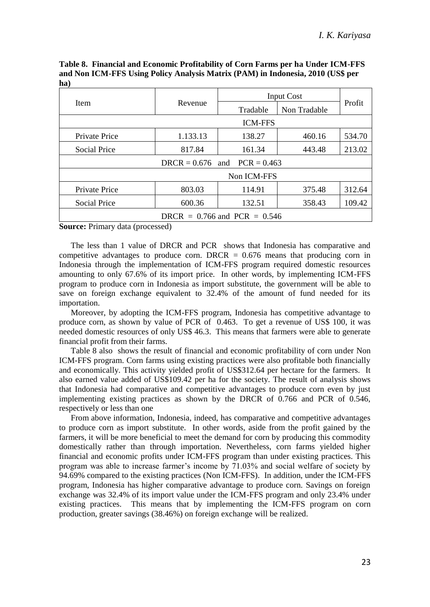| Item                             |          | Input Cost |              |        |  |  |
|----------------------------------|----------|------------|--------------|--------|--|--|
|                                  | Revenue  | Tradable   | Non Tradable | Profit |  |  |
| <b>ICM-FFS</b>                   |          |            |              |        |  |  |
| <b>Private Price</b>             | 1.133.13 | 138.27     | 460.16       | 534.70 |  |  |
| <b>Social Price</b>              | 817.84   | 161.34     | 443.48       | 213.02 |  |  |
| $DRCR = 0.676$ and $PCR = 0.463$ |          |            |              |        |  |  |
| Non ICM-FFS                      |          |            |              |        |  |  |
| Private Price                    | 803.03   | 114.91     | 375.48       | 312.64 |  |  |
| <b>Social Price</b>              | 600.36   | 132.51     | 358.43       | 109.42 |  |  |
| DRCR = $0.766$ and PCR = $0.546$ |          |            |              |        |  |  |

**Table 8. Financial and Economic Profitability of Corn Farms per ha Under ICM-FFS and Non ICM-FFS Using Policy Analysis Matrix (PAM) in Indonesia, 2010 (US\$ per ha)**

**Source:** Primary data (processed)

The less than 1 value of DRCR and PCR shows that Indonesia has comparative and competitive advantages to produce corn. DRCR  $= 0.676$  means that producing corn in Indonesia through the implementation of ICM-FFS program required domestic resources amounting to only 67.6% of its import price. In other words, by implementing ICM-FFS program to produce corn in Indonesia as import substitute, the government will be able to save on foreign exchange equivalent to 32.4% of the amount of fund needed for its importation.

Moreover, by adopting the ICM-FFS program, Indonesia has competitive advantage to produce corn, as shown by value of PCR of 0.463. To get a revenue of US\$ 100, it was needed domestic resources of only US\$ 46.3. This means that farmers were able to generate financial profit from their farms.

Table 8 also shows the result of financial and economic profitability of corn under Non ICM-FFS program. Corn farms using existing practices were also profitable both financially and economically. This activity yielded profit of US\$312.64 per hectare for the farmers. It also earned value added of US\$109.42 per ha for the society. The result of analysis shows that Indonesia had comparative and competitive advantages to produce corn even by just implementing existing practices as shown by the DRCR of 0.766 and PCR of 0.546, respectively or less than one

From above information, Indonesia, indeed, has comparative and competitive advantages to produce corn as import substitute. In other words, aside from the profit gained by the farmers, it will be more beneficial to meet the demand for corn by producing this commodity domestically rather than through importation. Nevertheless, corn farms yielded higher financial and economic profits under ICM-FFS program than under existing practices. This program was able to increase farmer's income by 71.03% and social welfare of society by 94.69% compared to the existing practices (Non ICM-FFS). In addition, under the ICM-FFS program, Indonesia has higher comparative advantage to produce corn. Savings on foreign exchange was 32.4% of its import value under the ICM-FFS program and only 23.4% under existing practices. This means that by implementing the ICM-FFS program on corn production, greater savings (38.46%) on foreign exchange will be realized.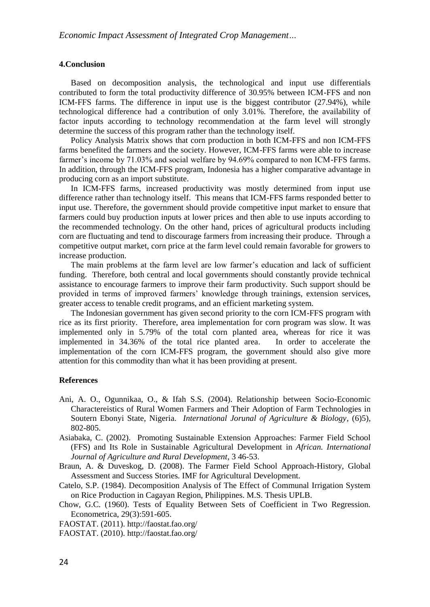#### **4.Conclusion**

Based on decomposition analysis, the technological and input use differentials contributed to form the total productivity difference of 30.95% between ICM-FFS and non ICM-FFS farms. The difference in input use is the biggest contributor (27.94%), while technological difference had a contribution of only 3.01%. Therefore, the availability of factor inputs according to technology recommendation at the farm level will strongly determine the success of this program rather than the technology itself.

Policy Analysis Matrix shows that corn production in both ICM-FFS and non ICM-FFS farms benefited the farmers and the society. However, ICM-FFS farms were able to increase farmer's income by 71.03% and social welfare by 94.69% compared to non ICM-FFS farms. In addition, through the ICM-FFS program, Indonesia has a higher comparative advantage in producing corn as an import substitute.

In ICM-FFS farms, increased productivity was mostly determined from input use difference rather than technology itself. This means that ICM-FFS farms responded better to input use. Therefore, the government should provide competitive input market to ensure that farmers could buy production inputs at lower prices and then able to use inputs according to the recommended technology. On the other hand, prices of agricultural products including corn are fluctuating and tend to discourage farmers from increasing their produce. Through a competitive output market, corn price at the farm level could remain favorable for growers to increase production.

The main problems at the farm level are low farmer's education and lack of sufficient funding. Therefore, both central and local governments should constantly provide technical assistance to encourage farmers to improve their farm productivity. Such support should be provided in terms of improved farmers' knowledge through trainings, extension services, greater access to tenable credit programs, and an efficient marketing system.

The Indonesian government has given second priority to the corn ICM-FFS program with rice as its first priority. Therefore, area implementation for corn program was slow. It was implemented only in 5.79% of the total corn planted area, whereas for rice it was implemented in 34.36% of the total rice planted area. In order to accelerate the implementation of the corn ICM-FFS program, the government should also give more attention for this commodity than what it has been providing at present.

#### **References**

- Ani, A. O., Ogunnikaa, O., & Ifah S.S. (2004). Relationship between Socio-Economic Charactereistics of Rural Women Farmers and Their Adoption of Farm Technologies in Soutern Ebonyi State, Nigeria. *International Jorunal of Agriculture & Biology*, (6)5), 802-805.
- Asiabaka, C. (2002). Promoting Sustainable Extension Approaches: Farmer Field School (FFS) and Its Role in Sustainable Agricultural Development in *African. International Journal of Agriculture and Rural Development*, 3 46-53.
- Braun, A. & Duveskog, D. (2008). The Farmer Field School Approach-History, Global Assessment and Success Stories. IMF for Agricultural Development.
- Catelo, S.P. (1984). Decomposition Analysis of The Effect of Communal Irrigation System on Rice Production in Cagayan Region, Philippines. M.S. Thesis UPLB.
- Chow, G.C. (1960). Tests of Equality Between Sets of Coefficient in Two Regression. Econometrica, 29(3):591-605.

FAOSTAT. (2011). http://faostat.fao.org/

FAOSTAT. (2010). http://faostat.fao.org/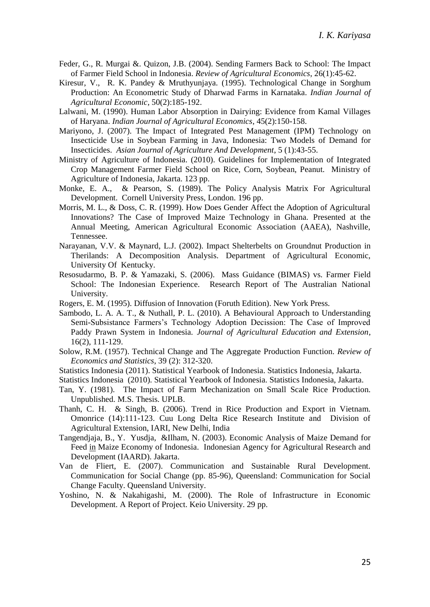- Feder, G., R. Murgai &. Quizon, J.B. (2004). Sending Farmers Back to School: The Impact of Farmer Field School in Indonesia. *Review of Agricultural Economics*, 26(1):45-62.
- Kiresur, V., R. K. Pandey & Mruthyunjaya. (1995). Technological Change in Sorghum Production: An Econometric Study of Dharwad Farms in Karnataka. *Indian Journal of Agricultural Economic*, 50(2):185-192.
- Lalwani, M. (1990). Human Labor Absorption in Dairying: Evidence from Kamal Villages of Haryana. *Indian Journal of Agricultural Economics*, 45(2):150-158.
- Mariyono, J. (2007). The Impact of Integrated Pest Management (IPM) Technology on Insecticide Use in Soybean Farming in Java, Indonesia: Two Models of Demand for Insecticides. *Asian Journal of Agriculture And Development*, 5 (1):43-55.
- Ministry of Agriculture of Indonesia. (2010). Guidelines for Implementation of Integrated Crop Management Farmer Field School on Rice, Corn, Soybean, Peanut. Ministry of Agriculture of Indonesia, Jakarta. 123 pp.
- Monke, E. A., & Pearson, S. (1989). The Policy Analysis Matrix For Agricultural Development. Cornell University Press, London*.* 196 pp.
- Morris, M. L., & Doss, C. R. (1999). How Does Gender Affect the Adoption of Agricultural Innovations? The Case of Improved Maize Technology in Ghana. Presented at the Annual Meeting, American Agricultural Economic Association (AAEA), Nashville, Tennessee.
- Narayanan, V.V. & Maynard, L.J. (2002). Impact Shelterbelts on Groundnut Production in Therilands: A Decomposition Analysis. Department of Agricultural Economic, University Of Kentucky.
- Resosudarmo, B. P. & Yamazaki, S. (2006). Mass Guidance (BIMAS) vs. Farmer Field School: The Indonesian Experience. Research Report of The Australian National University.
- Rogers, E. M. (1995). Diffusion of Innovation (Foruth Edition). New York Press.
- Sambodo, L. A. A. T., & Nuthall, P. L. (2010). A Behavioural Approach to Understanding Semi-Subsistance Farmers's Technology Adoption Decission: The Case of Improved Paddy Prawn System in Indonesia. *Journal of Agricultural Education and Extension*, 16(2), 111-129.
- Solow, R.M. (1957). Technical Change and The Aggregate Production Function. *Review of Economics and Statistics*, 39 (2): 312-320.
- Statistics Indonesia (2011). Statistical Yearbook of Indonesia. Statistics Indonesia, Jakarta.
- Statistics Indonesia (2010). Statistical Yearbook of Indonesia. Statistics Indonesia, Jakarta.
- Tan, Y. (1981). The Impact of Farm Mechanization on Small Scale Rice Production. Unpublished. M.S. Thesis. UPLB.
- Thanh, C. H. & Singh, B. (2006). Trend in Rice Production and Export in Vietnam. Omonrice (14):111-123. Cuu Long Delta Rice Research Institute and Division of Agricultural Extension, IARI, New Delhi, India
- Tangendjaja, B., Y. Yusdja, &Ilham, N. (2003). Economic Analysis of Maize Demand for Feed in Maize Economy of Indonesia. Indonesian Agency for Agricultural Research and Development (IAARD). Jakarta.
- Van de Fliert, E. (2007). Communication and Sustainable Rural Development. Communication for Social Change (pp. 85-96), Queensland: Communication for Social Change Faculty. Queensland University.
- Yoshino, N. & Nakahigashi, M. (2000). The Role of Infrastructure in Economic Development. A Report of Project. Keio University. 29 pp.